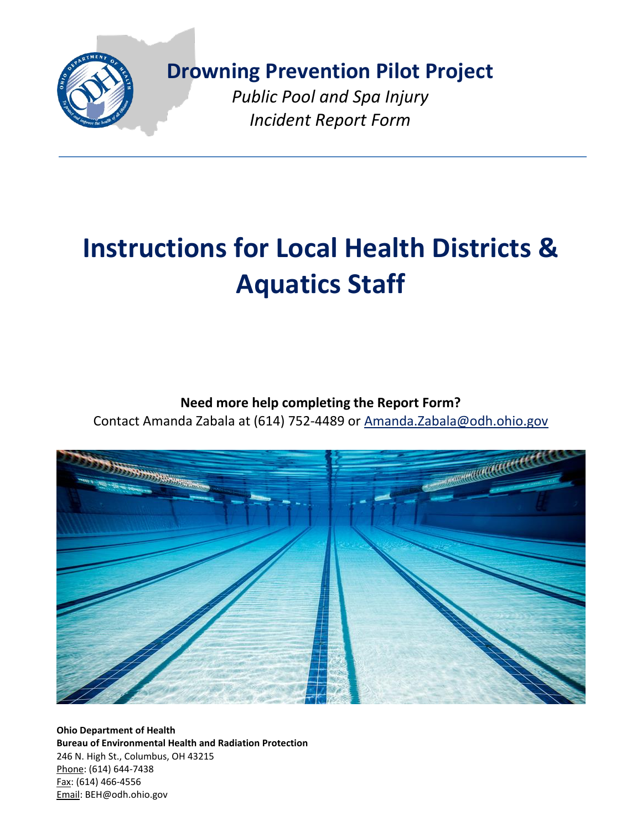

**[Dro](http://www.google.com/url?sa=i&rct=j&q=&esrc=s&frm=1&source=images&cd=&cad=rja&uact=8&ved=0CAcQjRxqFQoTCPivn4Dso8gCFYySDQodXIUHOw&url=http://www.spreadshirt.com/white-state-of-ohio-solid-cap-C3376A3193112&bvm=bv.104317490,d.dmo&psig=AFQjCNE0HlAUgNvWH5eBY_ovUrHtABpeCA&ust=1443877229760746)wning Prevention Pilot Project**

*Public Pool and Spa Injury Incident Report Form*

# **Instructions for Local Health Districts & Aquatics Staff**

## **Need more help completing the Report Form?**

Contact Amanda Zabala at (614) 752-4489 or [Amanda.Zabala@odh.ohio.gov](mailto:Amanda.Zabala@odh.ohio.gov)



**Ohio Department of Health Bureau of Environmental Health and Radiation Protection** 246 N. High St., Columbus, OH 43215 Phone: (614) 644-7438 Fax: (614) 466-4556 Email: BEH@odh.ohio.gov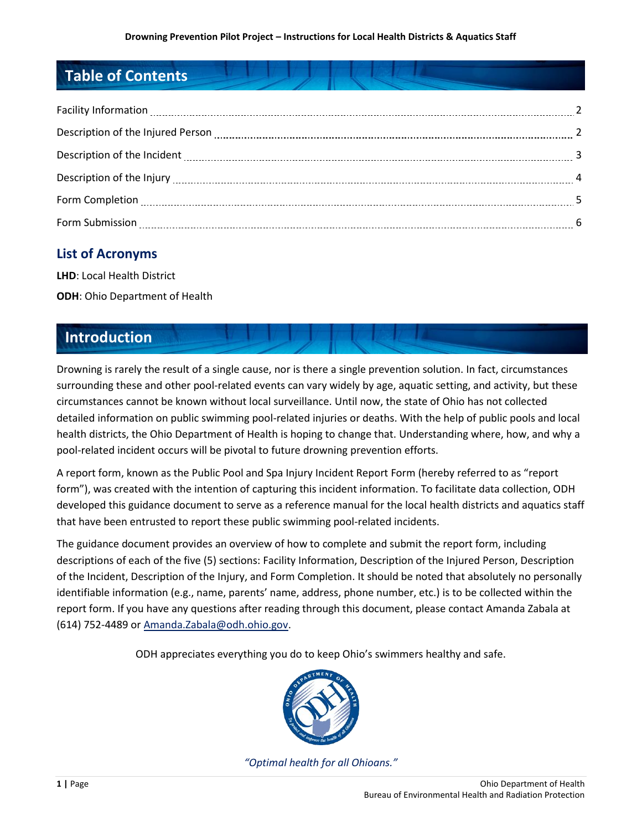# **Table of Contents**

| Description of the Injured Person [11] 22 and 23 and 24 and 24 and 25 and 25 and 25 and 25 and 25 and 25 and 25 and 25 and 25 and 25 and 25 and 25 and 25 and 25 and 25 and 25 and 25 and 25 and 25 and 25 and 25 and 25 and 2 |  |
|--------------------------------------------------------------------------------------------------------------------------------------------------------------------------------------------------------------------------------|--|
|                                                                                                                                                                                                                                |  |
|                                                                                                                                                                                                                                |  |
|                                                                                                                                                                                                                                |  |
|                                                                                                                                                                                                                                |  |

## **List of Acronyms**

**LHD**: Local Health District **ODH**: Ohio Department of Health

# **Introduction**

Drowning is rarely the result of a single cause, nor is there a single prevention solution. In fact, circumstances surrounding these and other pool-related events can vary widely by age, aquatic setting, and activity, but these circumstances cannot be known without local surveillance. Until now, the state of Ohio has not collected detailed information on public swimming pool-related injuries or deaths. With the help of public pools and local health districts, the Ohio Department of Health is hoping to change that. Understanding where, how, and why a pool-related incident occurs will be pivotal to future drowning prevention efforts.

A report form, known as the Public Pool and Spa Injury Incident Report Form (hereby referred to as "report form"), was created with the intention of capturing this incident information. To facilitate data collection, ODH developed this guidance document to serve as a reference manual for the local health districts and aquatics staff that have been entrusted to report these public swimming pool-related incidents.

The guidance document provides an overview of how to complete and submit the report form, including descriptions of each of the five (5) sections: Facility Information, Description of the Injured Person, Description of the Incident, Description of the Injury, and Form Completion. It should be noted that absolutely no personally identifiable information (e.g., name, parents' name, address, phone number, etc.) is to be collected within the report form. If you have any questions after reading through this document, please contact Amanda Zabala at (614) 752-4489 or [Amanda.Zabala@odh.ohio.gov.](mailto:Amanda.Zabala@odh.ohio.gov)

ODH appreciates everything you do to keep Ohio's swimmers healthy and safe.



*"Optimal health for all Ohioans."*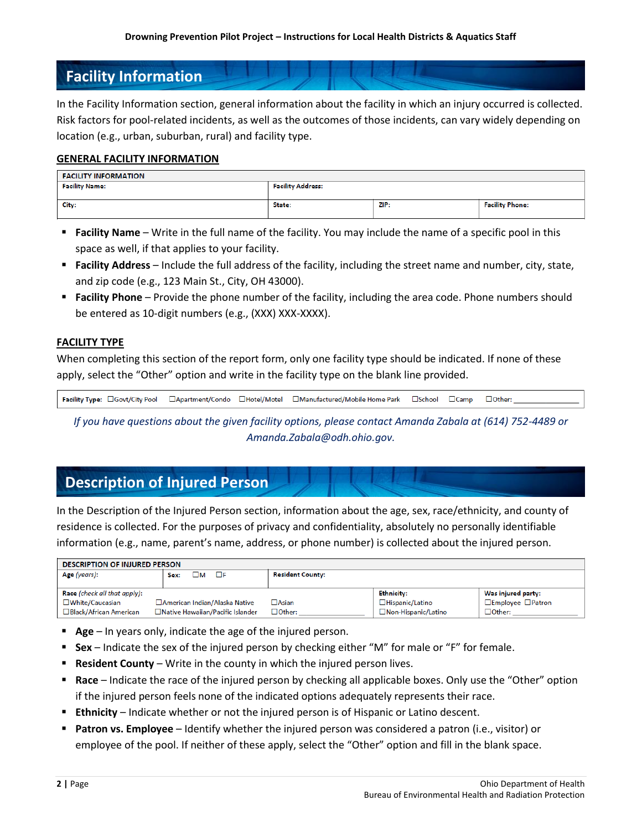## **Facility Information**

In the Facility Information section, general information about the facility in which an injury occurred is collected. Risk factors for pool-related incidents, as well as the outcomes of those incidents, can vary widely depending on location (e.g., urban, suburban, rural) and facility type.

#### **GENERAL FACILITY INFORMATION**

| <b>FACILITY INFORMATION</b> |                          |      |                        |  |
|-----------------------------|--------------------------|------|------------------------|--|
| <b>Facility Name:</b>       | <b>Facility Address:</b> |      |                        |  |
|                             |                          |      |                        |  |
| City:                       | State:                   | ZIP: | <b>Facility Phone:</b> |  |
|                             |                          |      |                        |  |

- **Facility Name** Write in the full name of the facility. You may include the name of a specific pool in this space as well, if that applies to your facility.
- **Facility Address** Include the full address of the facility, including the street name and number, city, state, and zip code (e.g., 123 Main St., City, OH 43000).
- **Facility Phone** Provide the phone number of the facility, including the area code. Phone numbers should be entered as 10-digit numbers (e.g., (XXX) XXX-XXXX).

#### **FACILITY TYPE**

When completing this section of the report form, only one facility type should be indicated. If none of these apply, select the "Other" option and write in the facility type on the blank line provided.

Facility Type: CGovt/City Pool □Apartment/Condo □Hotel/Motel □Manufactured/Mobile Home Park  $\square$ School  $\Box$ Camp  $\Box$  Other:

*If you have questions about the given facility options, please contact Amanda Zabala at (614) 752-4489 or Amanda.Zabala@odh.ohio.gov.*

## **Description of Injured Person**

In the Description of the Injured Person section, information about the age, sex, race/ethnicity, and county of residence is collected. For the purposes of privacy and confidentiality, absolutely no personally identifiable information (e.g., name, parent's name, address, or phone number) is collected about the injured person.

| <b>DESCRIPTION OF INJURED PERSON</b>                 |                                   |                         |                      |                                     |  |  |
|------------------------------------------------------|-----------------------------------|-------------------------|----------------------|-------------------------------------|--|--|
| Age (years):                                         | ⊐м<br>ПЕ<br>Sex:                  | <b>Resident County:</b> |                      |                                     |  |  |
|                                                      |                                   |                         |                      |                                     |  |  |
| Race (check all that apply):                         |                                   |                         | <b>Ethnicity:</b>    | Was injured party:                  |  |  |
| □ White/Caucasian<br>□ American Indian/Alaska Native |                                   | $\Box$ Asian            | □Hispanic/Latino     | $\square$ Employee $\square$ Patron |  |  |
| □ Black/African American                             | □Native Hawaiian/Pacific Islander | $\Box$ Other:           | □Non-Hispanic/Latino | $\Box$ Other:                       |  |  |

- **Age** In years only, indicate the age of the injured person.
- **Sex** Indicate the sex of the injured person by checking either "M" for male or "F" for female.
- **Resident County** Write in the county in which the injured person lives.
- **Race** Indicate the race of the injured person by checking all applicable boxes. Only use the "Other" option if the injured person feels none of the indicated options adequately represents their race.
- **Ethnicity** Indicate whether or not the injured person is of Hispanic or Latino descent.
- **Patron vs. Employee** Identify whether the injured person was considered a patron (i.e., visitor) or employee of the pool. If neither of these apply, select the "Other" option and fill in the blank space.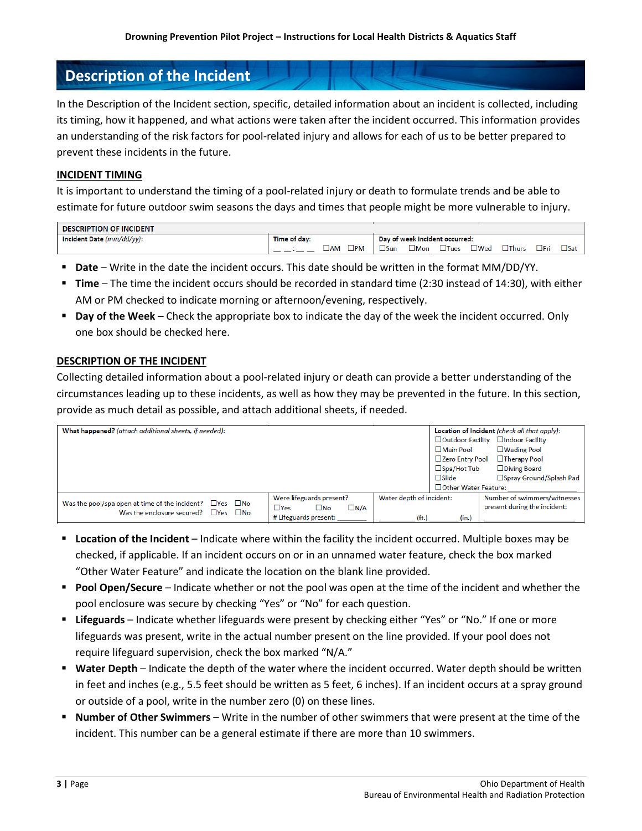## **Description of the Incident**

In the Description of the Incident section, specific, detailed information about an incident is collected, including its timing, how it happened, and what actions were taken after the incident occurred. This information provides an understanding of the risk factors for pool-related injury and allows for each of us to be better prepared to prevent these incidents in the future.

#### **INCIDENT TIMING**

It is important to understand the timing of a pool-related injury or death to formulate trends and be able to estimate for future outdoor swim seasons the days and times that people might be more vulnerable to injury.

| <b>DESCRIPTION OF INCIDENT</b> |              |                              |      |               |                                |            |                 |            |            |
|--------------------------------|--------------|------------------------------|------|---------------|--------------------------------|------------|-----------------|------------|------------|
| Incident Date (mm/dd/yy):      | Time of day: |                              |      |               | Day of week incident occurred: |            |                 |            |            |
|                                |              | $\square$ PM<br>$\square$ am | JSun | $\square$ Mon | <b>lues</b>                    | $\Box$ Wea | $\square$ Thurs | $\Box$ Frì | $\Box$ Sat |

- **Date** Write in the date the incident occurs. This date should be written in the format MM/DD/YY.
- **Time** The time the incident occurs should be recorded in standard time (2:30 instead of 14:30), with either AM or PM checked to indicate morning or afternoon/evening, respectively.
- **Day of the Week** Check the appropriate box to indicate the day of the week the incident occurred. Only one box should be checked here.

#### **DESCRIPTION OF THE INCIDENT**

Collecting detailed information about a pool-related injury or death can provide a better understanding of the circumstances leading up to these incidents, as well as how they may be prevented in the future. In this section, provide as much detail as possible, and attach additional sheets, if needed.

| What happened? (attach additional sheets, if needed):                                                               |                                    |                          |                        | Location of Incident (check all that apply): |
|---------------------------------------------------------------------------------------------------------------------|------------------------------------|--------------------------|------------------------|----------------------------------------------|
|                                                                                                                     |                                    |                          |                        | □ Outdoor Facility □ Indoor Facility         |
|                                                                                                                     |                                    |                          | □ Main Pool            | $\Box$ Wading Pool                           |
|                                                                                                                     |                                    |                          | □Zero Entry Pool       | □Therapy Pool                                |
|                                                                                                                     |                                    |                          | $\square$ Spa/Hot Tub  | $\Box$ Diving Board                          |
|                                                                                                                     |                                    |                          | $\square$ Slide        | □ Spray Ground/Splash Pad                    |
|                                                                                                                     |                                    |                          | □ Other Water Feature: |                                              |
|                                                                                                                     | Were lifeguards present?           | Water depth of incident: |                        | Number of swimmers/witnesses                 |
| Was the pool/spa open at time of the incident? $\Box$ Yes<br>$\Box$ No<br>Was the enclosure secured?<br><b>TYes</b> | $\square$ N/A<br>⊟No<br>$\Box$ Yes |                          |                        | present during the incident:                 |
| $\square$ No                                                                                                        | # Lifeguards present:              | $(f_t)$                  | (in.)                  |                                              |

- **Location of the Incident** Indicate where within the facility the incident occurred. Multiple boxes may be checked, if applicable. If an incident occurs on or in an unnamed water feature, check the box marked "Other Water Feature" and indicate the location on the blank line provided.
- **Pool Open/Secure** Indicate whether or not the pool was open at the time of the incident and whether the pool enclosure was secure by checking "Yes" or "No" for each question.
- **Lifeguards** Indicate whether lifeguards were present by checking either "Yes" or "No." If one or more lifeguards was present, write in the actual number present on the line provided. If your pool does not require lifeguard supervision, check the box marked "N/A."
- **Water Depth** Indicate the depth of the water where the incident occurred. Water depth should be written in feet and inches (e.g., 5.5 feet should be written as 5 feet, 6 inches). If an incident occurs at a spray ground or outside of a pool, write in the number zero (0) on these lines.
- **Number of Other Swimmers** Write in the number of other swimmers that were present at the time of the incident. This number can be a general estimate if there are more than 10 swimmers.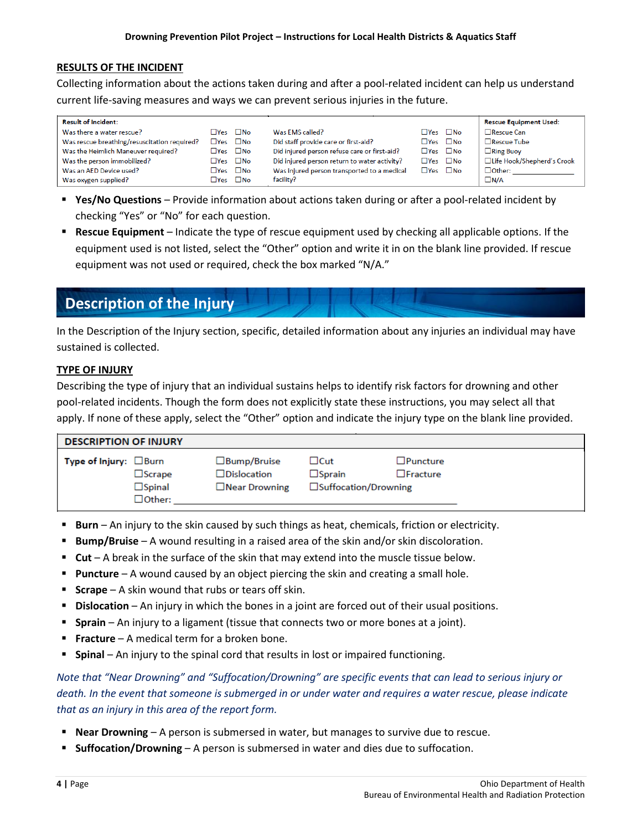#### **RESULTS OF THE INCIDENT**

Collecting information about the actions taken during and after a pool-related incident can help us understand current life-saving measures and ways we can prevent serious injuries in the future.

| <b>Result of Incident:</b>                   |                       |                            |                                              |                            | <b>Rescue Equipment Used:</b> |
|----------------------------------------------|-----------------------|----------------------------|----------------------------------------------|----------------------------|-------------------------------|
| Was there a water rescue?                    | $\Box$ Yes $\Box$ No  |                            | Was EMS called?                              | $\square$ Yes $\square$ No | □Rescue Can                   |
| Was rescue breathing/resuscitation required? | $\Box Y$ es $\Box$ No |                            | Did staff provide care or first-aid?         | $\Box Y$ es $\Box$ No      | $\Box$ Rescue Tube            |
| Was the Heimlich Maneuver required?          | $\Box$ Yes $\Box$ No  |                            | Did injured person refuse care or first-aid? | $\Box$ Yes $\Box$ No       | $\Box$ Ring Buoy              |
| Was the person immobilized?                  | $\Box Y$ es $\Box$ No |                            | Did injured person return to water activity? | $\Box$ Yes $\Box$ No       | □Life Hook/Shepherd's Crook   |
| Was an AED Device used?                      |                       | $\Box Y$ es $\Box$ No      | Was injured person transported to a medical  | $\Box Y$ es $\Box$ No      | $\Box$ Other:                 |
| Was oxygen supplied?                         |                       | $\square$ Yes $\square$ No | facility?                                    |                            | $\Box N/A$                    |

- **Yes/No Questions** Provide information about actions taken during or after a pool-related incident by checking "Yes" or "No" for each question.
- **Rescue Equipment** Indicate the type of rescue equipment used by checking all applicable options. If the equipment used is not listed, select the "Other" option and write it in on the blank line provided. If rescue equipment was not used or required, check the box marked "N/A."

# **Description of the Injury**

In the Description of the Injury section, specific, detailed information about any injuries an individual may have sustained is collected.

#### **TYPE OF INJURY**

Describing the type of injury that an individual sustains helps to identify risk factors for drowning and other pool-related incidents. Though the form does not explicitly state these instructions, you may select all that apply. If none of these apply, select the "Other" option and indicate the injury type on the blank line provided.

| <b>DESCRIPTION OF INJURY</b>                                                         |                                                                     |                                                                  |                                    |  |
|--------------------------------------------------------------------------------------|---------------------------------------------------------------------|------------------------------------------------------------------|------------------------------------|--|
| Type of Injury: $\Box$ Burn<br>$\square$ Scrape<br>$\square$ Spinal<br>$\Box$ Other: | $\square$ Bump/Bruise<br>$\Box$ Dislocation<br>$\Box$ Near Drowning | $\Box$ Cut<br>$\square$ Sprain<br>$\square$ Suffocation/Drowning | $\Box$ Puncture<br>$\Box$ Fracture |  |

- **Burn** An injury to the skin caused by such things as heat, chemicals, friction or electricity.
- **Bump/Bruise** A wound resulting in a raised area of the skin and/or skin discoloration.
- **Cut** A break in the surface of the skin that may extend into the muscle tissue below.
- **Puncture** A wound caused by an object piercing the skin and creating a small hole.
- **Scrape** A skin wound that rubs or tears off skin.
- **Dislocation** An injury in which the bones in a joint are forced out of their usual positions.
- **Sprain** An injury to a ligament (tissue that connects two or more bones at a joint).
- **Fracture** A medical term for a broken bone.
- **Spinal** An injury to the spinal cord that results in lost or impaired functioning.

*Note that "Near Drowning" and "Suffocation/Drowning" are specific events that can lead to serious injury or death. In the event that someone is submerged in or under water and requires a water rescue, please indicate that as an injury in this area of the report form.*

- **Near Drowning** A person is submersed in water, but manages to survive due to rescue.
- **Suffocation/Drowning** A person is submersed in water and dies due to suffocation.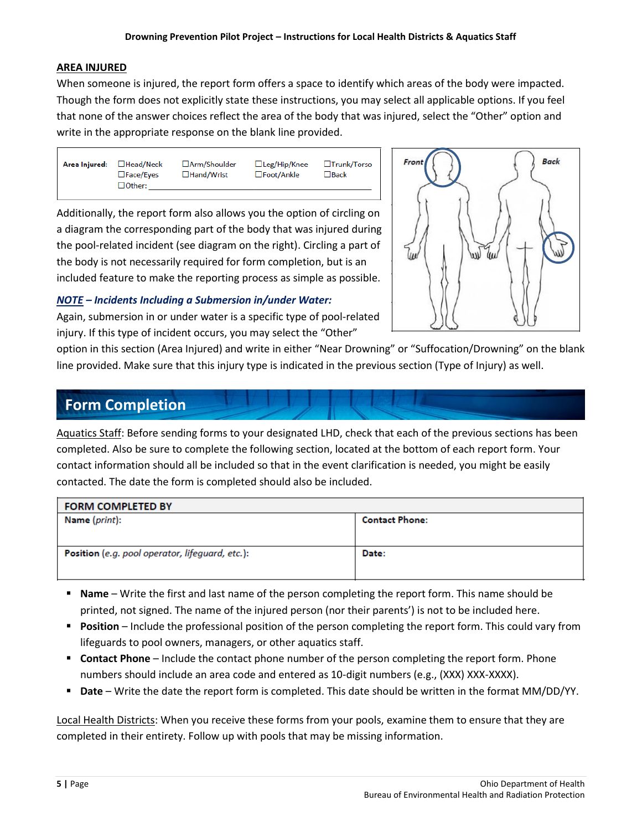#### **AREA INJURED**

When someone is injured, the report form offers a space to identify which areas of the body were impacted. Though the form does not explicitly state these instructions, you may select all applicable options. If you feel that none of the answer choices reflect the area of the body that was injured, select the "Other" option and write in the appropriate response on the blank line provided.

Area Injured: □Head/Neck  $\Box$ Face/Eyes  $\Box$  Other:

□Arm/Shoulder □Hand/Wrist

□Trunk/Torso □Leg/Hip/Knee □Foot/Ankle  $\square$  Back

Additionally, the report form also allows you the option of circling on a diagram the corresponding part of the body that was injured during the pool-related incident (see diagram on the right). Circling a part of the body is not necessarily required for form completion, but is an included feature to make the reporting process as simple as possible.

*NOTE – Incidents Including a Submersion in/under Water:*

Again, submersion in or under water is a specific type of pool-related injury. If this type of incident occurs, you may select the "Other"



option in this section (Area Injured) and write in either "Near Drowning" or "Suffocation/Drowning" on the blank line provided. Make sure that this injury type is indicated in the previous section (Type of Injury) as well.

### **Form Completion**

Aquatics Staff: Before sending forms to your designated LHD, check that each of the previous sections has been completed. Also be sure to complete the following section, located at the bottom of each report form. Your contact information should all be included so that in the event clarification is needed, you might be easily contacted. The date the form is completed should also be included.

| <b>FORM COMPLETED BY</b>                        |                       |
|-------------------------------------------------|-----------------------|
| Name (print):                                   | <b>Contact Phone:</b> |
|                                                 |                       |
|                                                 |                       |
| Position (e.g. pool operator, lifeguard, etc.): | Date:                 |
|                                                 |                       |
|                                                 |                       |

- **Name** Write the first and last name of the person completing the report form. This name should be printed, not signed. The name of the injured person (nor their parents') is not to be included here.
- **Position** Include the professional position of the person completing the report form. This could vary from lifeguards to pool owners, managers, or other aquatics staff.
- **Contact Phone** Include the contact phone number of the person completing the report form. Phone numbers should include an area code and entered as 10-digit numbers (e.g., (XXX) XXX-XXXX).
- **Date** Write the date the report form is completed. This date should be written in the format MM/DD/YY.

Local Health Districts: When you receive these forms from your pools, examine them to ensure that they are completed in their entirety. Follow up with pools that may be missing information.